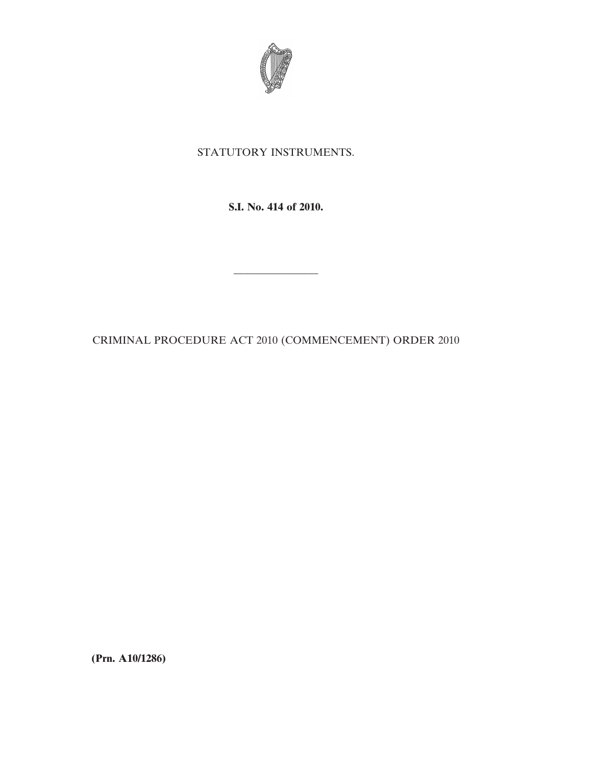

## STATUTORY INSTRUMENTS.

**S.I. No. 414 of 2010.**

CRIMINAL PROCEDURE ACT 2010 (COMMENCEMENT) ORDER 2010

————————

**(Prn. A10/1286)**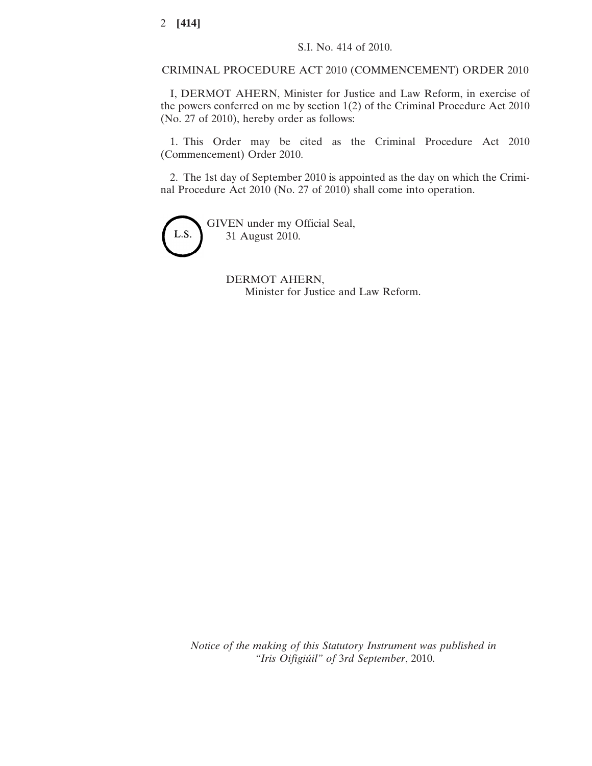CRIMINAL PROCEDURE ACT 2010 (COMMENCEMENT) ORDER 2010

I, DERMOT AHERN, Minister for Justice and Law Reform, in exercise of the powers conferred on me by section 1(2) of the Criminal Procedure Act 2010 (No. 27 of 2010), hereby order as follows:

1. This Order may be cited as the Criminal Procedure Act 2010 (Commencement) Order 2010.

2. The 1st day of September 2010 is appointed as the day on which the Criminal Procedure Act 2010 (No. 27 of 2010) shall come into operation.



GIVEN under my Official Seal, 31 August 2010.

> DERMOT AHERN, Minister for Justice and Law Reform.

*Notice of the making of this Statutory Instrument was published in "Iris Oifigiúil" of* 3*rd September*, 2010.